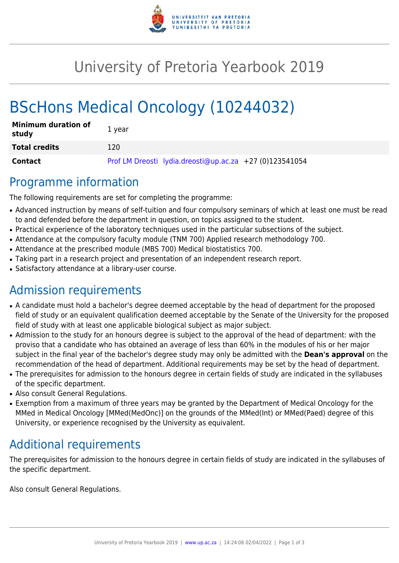

# University of Pretoria Yearbook 2019

# BScHons Medical Oncology (10244032)

| <b>Minimum duration of</b><br>study | 1 year                                                  |
|-------------------------------------|---------------------------------------------------------|
| <b>Total credits</b>                | 120                                                     |
| Contact                             | Prof LM Dreosti lydia.dreosti@up.ac.za +27 (0)123541054 |

## Programme information

The following requirements are set for completing the programme:

- Advanced instruction by means of self-tuition and four compulsory seminars of which at least one must be read to and defended before the department in question, on topics assigned to the student.
- Practical experience of the laboratory techniques used in the particular subsections of the subject.
- Attendance at the compulsory faculty module (TNM 700) Applied research methodology 700.
- Attendance at the prescribed module (MBS 700) Medical biostatistics 700.
- Taking part in a research project and presentation of an independent research report.
- Satisfactory attendance at a library-user course.

# Admission requirements

- A candidate must hold a bachelor's degree deemed acceptable by the head of department for the proposed field of study or an equivalent qualification deemed acceptable by the Senate of the University for the proposed field of study with at least one applicable biological subject as major subject.
- Admission to the study for an honours degree is subject to the approval of the head of department: with the proviso that a candidate who has obtained an average of less than 60% in the modules of his or her major subject in the final year of the bachelor's degree study may only be admitted with the **Dean's approval** on the recommendation of the head of department. Additional requirements may be set by the head of department.
- The prerequisites for admission to the honours degree in certain fields of study are indicated in the syllabuses of the specific department.
- Also consult General Regulations.
- Exemption from a maximum of three years may be granted by the Department of Medical Oncology for the MMed in Medical Oncology [MMed(MedOnc)] on the grounds of the MMed(Int) or MMed(Paed) degree of this University, or experience recognised by the University as equivalent.

## Additional requirements

The prerequisites for admission to the honours degree in certain fields of study are indicated in the syllabuses of the specific department.

Also consult General Regulations.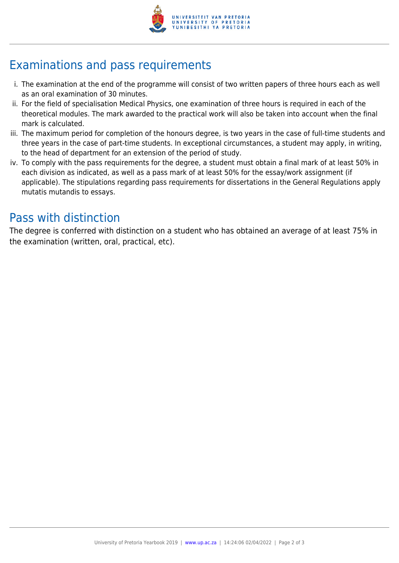

# Examinations and pass requirements

- i. The examination at the end of the programme will consist of two written papers of three hours each as well as an oral examination of 30 minutes.
- ii. For the field of specialisation Medical Physics, one examination of three hours is required in each of the theoretical modules. The mark awarded to the practical work will also be taken into account when the final mark is calculated.
- iii. The maximum period for completion of the honours degree, is two years in the case of full-time students and three years in the case of part-time students. In exceptional circumstances, a student may apply, in writing, to the head of department for an extension of the period of study.
- iv. To comply with the pass requirements for the degree, a student must obtain a final mark of at least 50% in each division as indicated, as well as a pass mark of at least 50% for the essay/work assignment (if applicable). The stipulations regarding pass requirements for dissertations in the General Regulations apply mutatis mutandis to essays.

## Pass with distinction

The degree is conferred with distinction on a student who has obtained an average of at least 75% in the examination (written, oral, practical, etc).